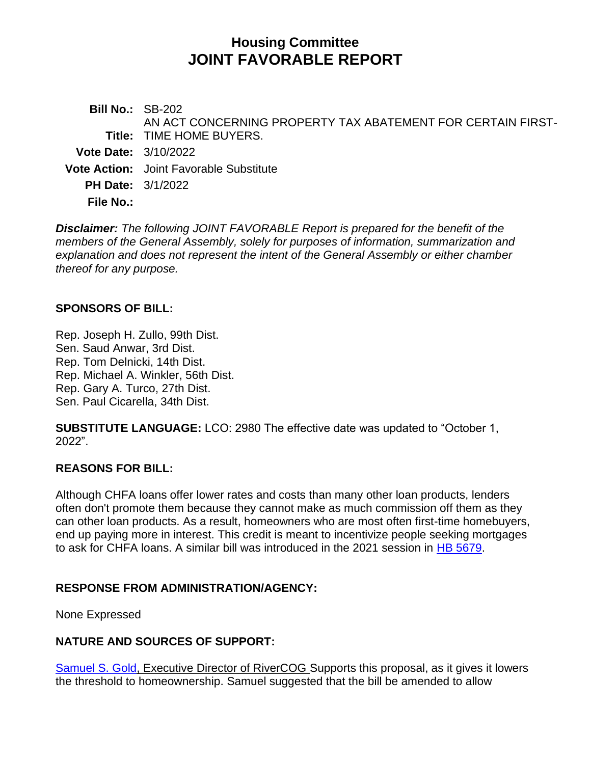# **Housing Committee JOINT FAVORABLE REPORT**

**Bill No.:** SB-202 **Title:** TIME HOME BUYERS. AN ACT CONCERNING PROPERTY TAX ABATEMENT FOR CERTAIN FIRST-**Vote Date:** 3/10/2022 **Vote Action:** Joint Favorable Substitute **PH Date:** 3/1/2022 **File No.:**

*Disclaimer: The following JOINT FAVORABLE Report is prepared for the benefit of the members of the General Assembly, solely for purposes of information, summarization and explanation and does not represent the intent of the General Assembly or either chamber thereof for any purpose.*

### **SPONSORS OF BILL:**

Rep. Joseph H. Zullo, 99th Dist. Sen. Saud Anwar, 3rd Dist. Rep. Tom Delnicki, 14th Dist. Rep. Michael A. Winkler, 56th Dist. Rep. Gary A. Turco, 27th Dist. Sen. Paul Cicarella, 34th Dist.

**SUBSTITUTE LANGUAGE:** LCO: 2980 The effective date was updated to "October 1, 2022".

#### **REASONS FOR BILL:**

Although CHFA loans offer lower rates and costs than many other loan products, lenders often don't promote them because they cannot make as much commission off them as they can other loan products. As a result, homeowners who are most often first-time homebuyers, end up paying more in interest. This credit is meant to incentivize people seeking mortgages to ask for CHFA loans. A similar bill was introduced in the 2021 session in [HB 5679.](https://www.cga.ct.gov/asp/cgabillstatus/cgabillstatus.asp?selBillType=Bill&which_year=2021&bill_num=5679)

### **RESPONSE FROM ADMINISTRATION/AGENCY:**

None Expressed

### **NATURE AND SOURCES OF SUPPORT:**

[Samuel S. Gold,](https://www.cga.ct.gov/2022/HSGdata/Tmy/2022SB-00202-R000301-Gold,%20Samuel%20S.,%20Executive%20Director-RiverCOG-TMY.PDF) Executive Director of RiverCOG Supports this proposal, as it gives it lowers the threshold to homeownership. Samuel suggested that the bill be amended to allow